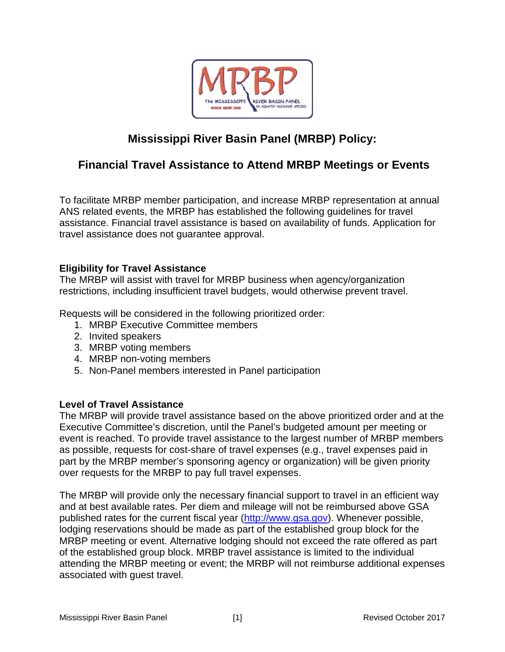

# **Mississippi River Basin Panel (MRBP) Policy:**

## **Financial Travel Assistance to Attend MRBP Meetings or Events**

To facilitate MRBP member participation, and increase MRBP representation at annual ANS related events, the MRBP has established the following guidelines for travel assistance. Financial travel assistance is based on availability of funds. Application for travel assistance does not guarantee approval.

### **Eligibility for Travel Assistance**

The MRBP will assist with travel for MRBP business when agency/organization restrictions, including insufficient travel budgets, would otherwise prevent travel.

Requests will be considered in the following prioritized order:

- 1. MRBP Executive Committee members
- 2. Invited speakers
- 3. MRBP voting members
- 4. MRBP non-voting members
- 5. Non-Panel members interested in Panel participation

#### **Level of Travel Assistance**

The MRBP will provide travel assistance based on the above prioritized order and at the Executive Committee's discretion, until the Panel's budgeted amount per meeting or event is reached. To provide travel assistance to the largest number of MRBP members as possible, requests for cost-share of travel expenses (e.g., travel expenses paid in part by the MRBP member's sponsoring agency or organization) will be given priority over requests for the MRBP to pay full travel expenses.

The MRBP will provide only the necessary financial support to travel in an efficient way and at best available rates. Per diem and mileage will not be reimbursed above GSA published rates for the current fiscal year (http://www.gsa.gov). Whenever possible, lodging reservations should be made as part of the established group block for the MRBP meeting or event. Alternative lodging should not exceed the rate offered as part of the established group block. MRBP travel assistance is limited to the individual attending the MRBP meeting or event; the MRBP will not reimburse additional expenses associated with guest travel.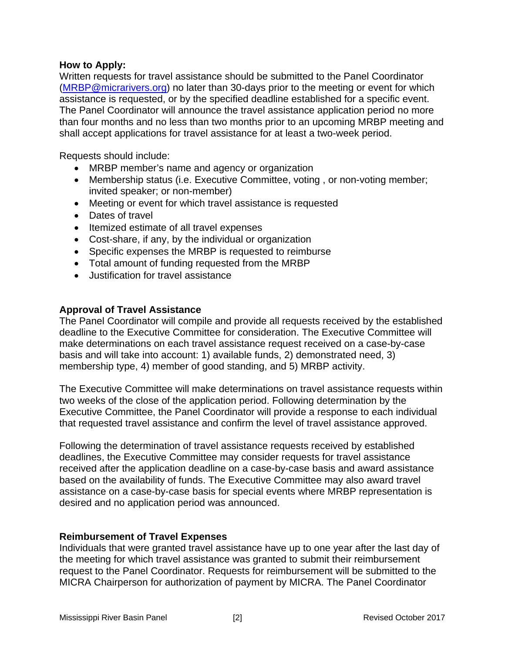#### **How to Apply:**

Written requests for travel assistance should be submitted to the Panel Coordinator (MRBP@micrarivers.org) no later than 30-days prior to the meeting or event for which assistance is requested, or by the specified deadline established for a specific event. The Panel Coordinator will announce the travel assistance application period no more than four months and no less than two months prior to an upcoming MRBP meeting and shall accept applications for travel assistance for at least a two-week period.

Requests should include:

- MRBP member's name and agency or organization
- Membership status (i.e. Executive Committee, voting, or non-voting member; invited speaker; or non-member)
- Meeting or event for which travel assistance is requested
- Dates of travel
- Itemized estimate of all travel expenses
- Cost-share, if any, by the individual or organization
- Specific expenses the MRBP is requested to reimburse
- Total amount of funding requested from the MRBP
- Justification for travel assistance

#### **Approval of Travel Assistance**

The Panel Coordinator will compile and provide all requests received by the established deadline to the Executive Committee for consideration. The Executive Committee will make determinations on each travel assistance request received on a case-by-case basis and will take into account: 1) available funds, 2) demonstrated need, 3) membership type, 4) member of good standing, and 5) MRBP activity.

The Executive Committee will make determinations on travel assistance requests within two weeks of the close of the application period. Following determination by the Executive Committee, the Panel Coordinator will provide a response to each individual that requested travel assistance and confirm the level of travel assistance approved.

Following the determination of travel assistance requests received by established deadlines, the Executive Committee may consider requests for travel assistance received after the application deadline on a case-by-case basis and award assistance based on the availability of funds. The Executive Committee may also award travel assistance on a case-by-case basis for special events where MRBP representation is desired and no application period was announced.

#### **Reimbursement of Travel Expenses**

Individuals that were granted travel assistance have up to one year after the last day of the meeting for which travel assistance was granted to submit their reimbursement request to the Panel Coordinator. Requests for reimbursement will be submitted to the MICRA Chairperson for authorization of payment by MICRA. The Panel Coordinator